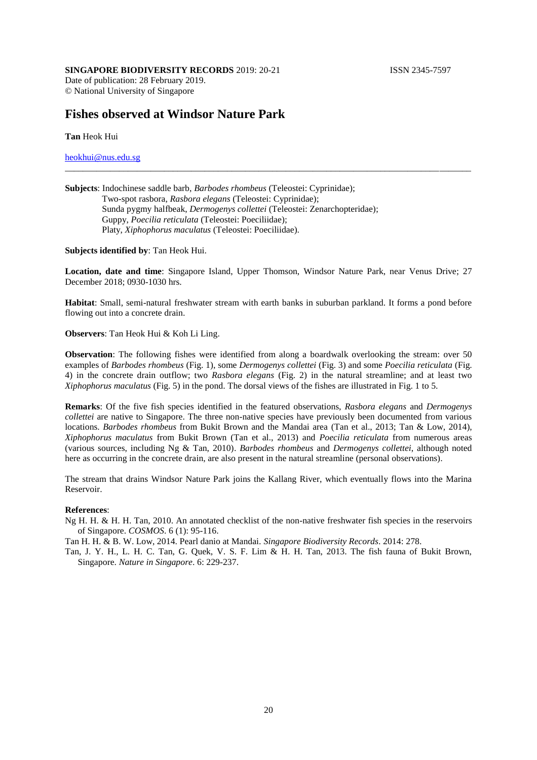## **SINGAPORE BIODIVERSITY RECORDS** 2019: 20-21 **ISSN 2345-7597**

Date of publication: 28 February 2019. © National University of Singapore

## **Fishes observed at Windsor Nature Park**

**Tan** Heok Hui

[heokhui@nus.edu.sg](mailto:heokhui@nus.edu.sg)

| <b>Subjects:</b> Indochinese saddle barb, <i>Barbodes rhombeus</i> (Teleostei: Cyprinidae); |
|---------------------------------------------------------------------------------------------|
| Two-spot rasbora, Rasbora elegans (Teleostei: Cyprinidae);                                  |
| Sunda pygmy halfbeak, <i>Dermogenys collettei</i> (Teleostei: Zenarchopteridae);            |
| Guppy, <i>Poecilia reticulata</i> (Teleostei: Poeciliidae);                                 |
| Platy, <i>Xiphophorus maculatus</i> (Teleostei: Poeciliidae).                               |

**Subjects identified by**: Tan Heok Hui.

**Location, date and time**: Singapore Island, Upper Thomson, Windsor Nature Park, near Venus Drive; 27 December 2018; 0930-1030 hrs.

\_\_\_\_\_\_\_\_\_\_\_\_\_\_\_\_\_\_\_\_\_\_\_\_\_\_\_\_\_\_\_\_\_\_\_\_\_\_\_\_\_\_\_\_\_\_\_\_\_\_\_\_\_\_\_\_\_\_\_\_\_\_\_\_\_\_\_\_\_\_\_\_\_\_\_\_\_\_\_\_\_\_\_\_\_\_\_\_\_\_

**Habitat**: Small, semi-natural freshwater stream with earth banks in suburban parkland. It forms a pond before flowing out into a concrete drain.

**Observers**: Tan Heok Hui & Koh Li Ling.

**Observation**: The following fishes were identified from along a boardwalk overlooking the stream: over 50 examples of *Barbodes rhombeus* (Fig. 1), some *Dermogenys collettei* (Fig. 3) and some *Poecilia reticulata* (Fig. 4) in the concrete drain outflow; two *Rasbora elegans* (Fig. 2) in the natural streamline; and at least two *Xiphophorus maculatus* (Fig. 5) in the pond. The dorsal views of the fishes are illustrated in Fig. 1 to 5.

**Remarks**: Of the five fish species identified in the featured observations, *Rasbora elegans* and *Dermogenys collettei* are native to Singapore. The three non-native species have previously been documented from various locations. *Barbodes rhombeus* from Bukit Brown and the Mandai area (Tan et al., 2013; Tan & Low, 2014), *Xiphophorus maculatus* from Bukit Brown (Tan et al., 2013) and *Poecilia reticulata* from numerous areas (various sources, including Ng & Tan, 2010). *Barbodes rhombeus* and *Dermogenys collettei*, although noted here as occurring in the concrete drain, are also present in the natural streamline (personal observations).

The stream that drains Windsor Nature Park joins the Kallang River, which eventually flows into the Marina Reservoir.

## **References**:

Ng H. H. & H. H. Tan, 2010. An annotated checklist of the non-native freshwater fish species in the reservoirs of Singapore. *COSMOS*. 6 (1): 95-116.

Tan H. H. & B. W. Low, 2014. Pearl danio at Mandai. *Singapore Biodiversity Records*. 2014: 278.

Tan, J. Y. H., L. H. C. Tan, G. Quek, V. S. F. Lim & H. H. Tan, 2013. The fish fauna of Bukit Brown, Singapore. *Nature in Singapore*. 6: 229-237.